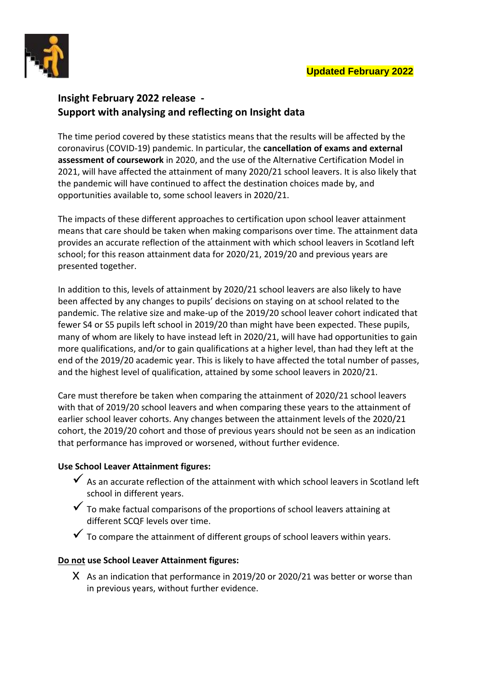

# **Insight February 2022 release - Support with analysing and reflecting on Insight data**

The time period covered by these statistics means that the results will be affected by the coronavirus (COVID-19) pandemic. In particular, the **cancellation of exams and external assessment of coursework** in 2020, and the use of the Alternative Certification Model in 2021, will have affected the attainment of many 2020/21 school leavers. It is also likely that the pandemic will have continued to affect the destination choices made by, and opportunities available to, some school leavers in 2020/21.

The impacts of these different approaches to certification upon school leaver attainment means that care should be taken when making comparisons over time. The attainment data provides an accurate reflection of the attainment with which school leavers in Scotland left school; for this reason attainment data for 2020/21, 2019/20 and previous years are presented together.

In addition to this, levels of attainment by 2020/21 school leavers are also likely to have been affected by any changes to pupils' decisions on staying on at school related to the pandemic. The relative size and make-up of the 2019/20 school leaver cohort indicated that fewer S4 or S5 pupils left school in 2019/20 than might have been expected. These pupils, many of whom are likely to have instead left in 2020/21, will have had opportunities to gain more qualifications, and/or to gain qualifications at a higher level, than had they left at the end of the 2019/20 academic year. This is likely to have affected the total number of passes, and the highest level of qualification, attained by some school leavers in 2020/21.

Care must therefore be taken when comparing the attainment of 2020/21 school leavers with that of 2019/20 school leavers and when comparing these years to the attainment of earlier school leaver cohorts. Any changes between the attainment levels of the 2020/21 cohort, the 2019/20 cohort and those of previous years should not be seen as an indication that performance has improved or worsened, without further evidence.

# **Use School Leaver Attainment figures:**

- $\checkmark$  As an accurate reflection of the attainment with which school leavers in Scotland left school in different years.
- $\checkmark$  To make factual comparisons of the proportions of school leavers attaining at different SCQF levels over time.
- $\checkmark$  To compare the attainment of different groups of school leavers within years.

# **Do not use School Leaver Attainment figures:**

X As an indication that performance in 2019/20 or 2020/21 was better or worse than in previous years, without further evidence.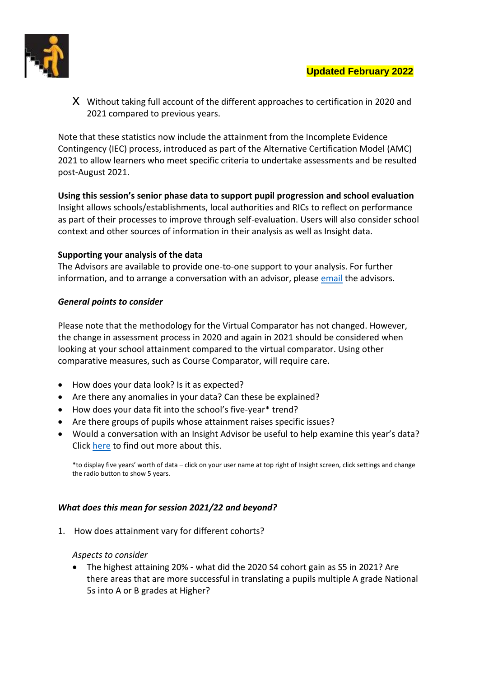

x Without taking full account of the different approaches to certification in 2020 and 2021 compared to previous years.

Note that these statistics now include the attainment from the Incomplete Evidence Contingency (IEC) process, introduced as part of the Alternative Certification Model (AMC) 2021 to allow learners who meet specific criteria to undertake assessments and be resulted post-August 2021.

**Using this session's senior phase data to support pupil progression and school evaluation** Insight allows schools/establishments, local authorities and RICs to reflect on performance as part of their processes to improve through self-evaluation. Users will also consider school context and other sources of information in their analysis as well as Insight data.

# **Supporting your analysis of the data**

The Advisors are available to provide one-to-one support to your analysis. For further information, and to arrange a conversation with an advisor, please [email](mailto:insight@gov.scot) the advisors.

### *General points to consider*

Please note that the methodology for the Virtual Comparator has not changed. However, the change in assessment process in 2020 and again in 2021 should be considered when looking at your school attainment compared to the virtual comparator. Using other comparative measures, such as Course Comparator, will require care.

- How does your data look? Is it as expected?
- Are there any anomalies in your data? Can these be explained?
- How does your data fit into the school's five-year\* trend?
- Are there groups of pupils whose attainment raises specific issues?
- Would a conversation with an Insight Advisor be useful to help examine this year's data? Click [here](https://insight-guides.scotxed.net/advisor.htm) to find out more about this.

\*to display five years' worth of data – click on your user name at top right of Insight screen, click settings and change the radio button to show 5 years.

### *What does this mean for session 2021/22 and beyond?*

1. How does attainment vary for different cohorts?

### *Aspects to consider*

 The highest attaining 20% - what did the 2020 S4 cohort gain as S5 in 2021? Are there areas that are more successful in translating a pupils multiple A grade National 5s into A or B grades at Higher?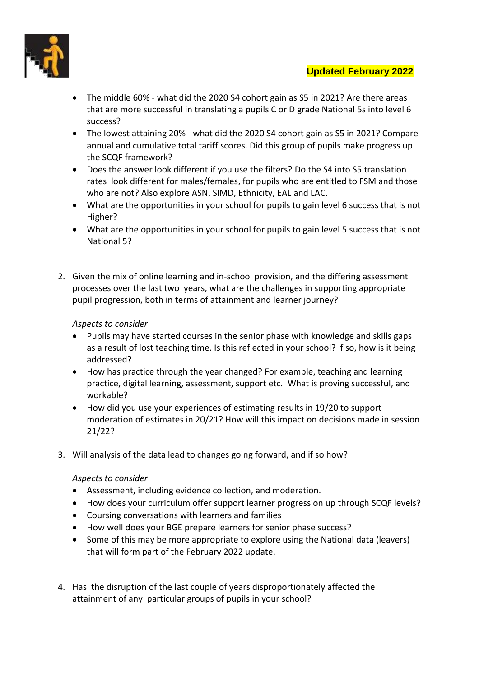

- The middle 60% what did the 2020 S4 cohort gain as S5 in 2021? Are there areas that are more successful in translating a pupils C or D grade National 5s into level 6 success?
- The lowest attaining 20% what did the 2020 S4 cohort gain as S5 in 2021? Compare annual and cumulative total tariff scores. Did this group of pupils make progress up the SCQF framework?
- Does the answer look different if you use the filters? Do the S4 into S5 translation rates look different for males/females, for pupils who are entitled to FSM and those who are not? Also explore ASN, SIMD, Ethnicity, EAL and LAC.
- What are the opportunities in your school for pupils to gain level 6 success that is not Higher?
- What are the opportunities in your school for pupils to gain level 5 success that is not National 5?
- 2. Given the mix of online learning and in-school provision, and the differing assessment processes over the last two years, what are the challenges in supporting appropriate pupil progression, both in terms of attainment and learner journey?

# *Aspects to consider*

- Pupils may have started courses in the senior phase with knowledge and skills gaps as a result of lost teaching time. Is this reflected in your school? If so, how is it being addressed?
- How has practice through the year changed? For example, teaching and learning practice, digital learning, assessment, support etc. What is proving successful, and workable?
- How did you use your experiences of estimating results in 19/20 to support moderation of estimates in 20/21? How will this impact on decisions made in session 21/22?
- 3. Will analysis of the data lead to changes going forward, and if so how?

# *Aspects to consider*

- Assessment, including evidence collection, and moderation.
- How does your curriculum offer support learner progression up through SCQF levels?
- Coursing conversations with learners and families
- How well does your BGE prepare learners for senior phase success?
- Some of this may be more appropriate to explore using the National data (leavers) that will form part of the February 2022 update.
- 4. Has the disruption of the last couple of years disproportionately affected the attainment of any particular groups of pupils in your school?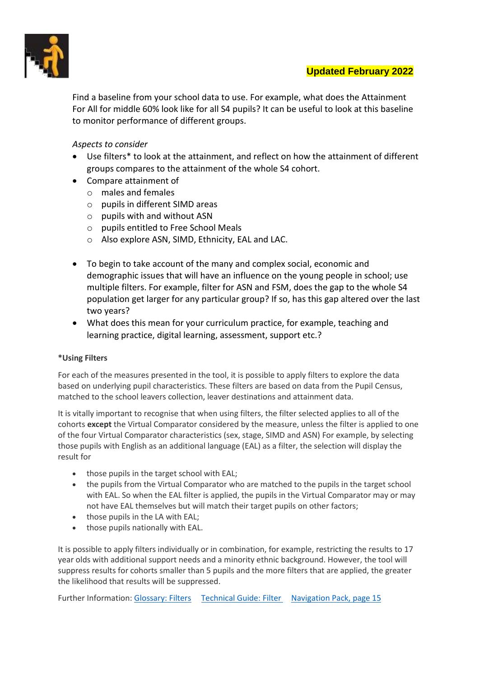

Find a baseline from your school data to use. For example, what does the Attainment For All for middle 60% look like for all S4 pupils? It can be useful to look at this baseline to monitor performance of different groups.

# *Aspects to consider*

- Use filters\* to look at the attainment, and reflect on how the attainment of different groups compares to the attainment of the whole S4 cohort.
- Compare attainment of
	- o males and females
	- o pupils in different SIMD areas
	- $\circ$  pupils with and without ASN
	- o pupils entitled to Free School Meals
	- o Also explore ASN, SIMD, Ethnicity, EAL and LAC.
- To begin to take account of the many and complex social, economic and demographic issues that will have an influence on the young people in school; use multiple filters. For example, filter for ASN and FSM, does the gap to the whole S4 population get larger for any particular group? If so, has this gap altered over the last two years?
- What does this mean for your curriculum practice, for example, teaching and learning practice, digital learning, assessment, support etc.?

### **\*Using Filters**

For each of the measures presented in the tool, it is possible to apply filters to explore the data based on underlying pupil characteristics. These filters are based on data from the Pupil Census, matched to the school leavers collection, leaver destinations and attainment data.

It is vitally important to recognise that when using filters, the filter selected applies to all of the cohorts **except** the Virtual Comparator considered by the measure, unless the filter is applied to one of the four Virtual Comparator characteristics (sex, stage, SIMD and ASN) For example, by selecting those pupils with English as an additional language (EAL) as a filter, the selection will display the result for

- those pupils in the target school with EAL;
- the pupils from the Virtual Comparator who are matched to the pupils in the target school with EAL. So when the EAL filter is applied, the pupils in the Virtual Comparator may or may not have EAL themselves but will match their target pupils on other factors;
- those pupils in the LA with EAL;
- those pupils nationally with EAL.

It is possible to apply filters individually or in combination, for example, restricting the results to 17 year olds with additional support needs and a minority ethnic background. However, the tool will suppress results for cohorts smaller than 5 pupils and the more filters that are applied, the greater the likelihood that results will be suppressed.

Further Information[: Glossary: Filters](https://insight-guides.scotxed.net/glossary.htm#gloss3) [Technical Guide: Filter](https://insight-guides.scotxed.net/technical.htm#Filters) [Navigation Pack, page 15](https://insight-guides.scotxed.net/support/Insight-GuidanceReview2018-Navigationpack.pdf)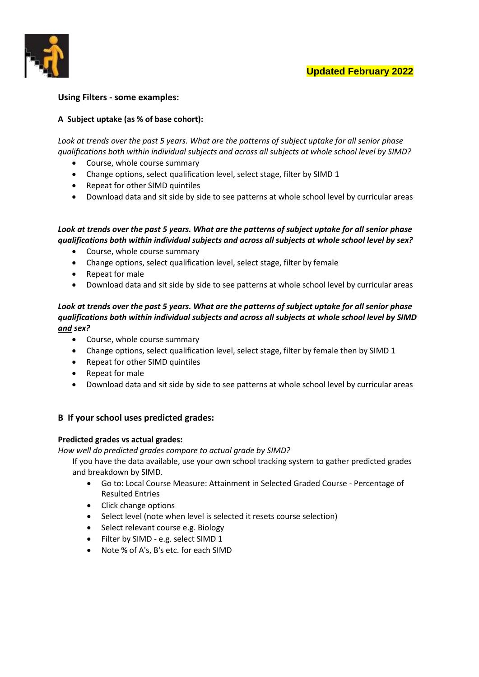

### **Using Filters - some examples:**

#### **A Subject uptake (as % of base cohort):**

*Look at trends over the past 5 years. What are the patterns of subject uptake for all senior phase qualifications both within individual subjects and across all subjects at whole school level by SIMD?* 

- Course, whole course summary
- Change options, select qualification level, select stage, filter by SIMD 1
- Repeat for other SIMD quintiles
- Download data and sit side by side to see patterns at whole school level by curricular areas

#### *Look at trends over the past 5 years. What are the patterns of subject uptake for all senior phase qualifications both within individual subjects and across all subjects at whole school level by sex?*

- Course, whole course summary
- Change options, select qualification level, select stage, filter by female
- Repeat for male
- Download data and sit side by side to see patterns at whole school level by curricular areas

### *Look at trends over the past 5 years. What are the patterns of subject uptake for all senior phase qualifications both within individual subjects and across all subjects at whole school level by SIMD and sex?*

- Course, whole course summary
- Change options, select qualification level, select stage, filter by female then by SIMD 1
- Repeat for other SIMD quintiles
- Repeat for male
- Download data and sit side by side to see patterns at whole school level by curricular areas

### **B If your school uses predicted grades:**

#### **Predicted grades vs actual grades:**

*How well do predicted grades compare to actual grade by SIMD?*

If you have the data available, use your own school tracking system to gather predicted grades and breakdown by SIMD.

- Go to: Local Course Measure: Attainment in Selected Graded Course Percentage of Resulted Entries
- Click change options
- Select level (note when level is selected it resets course selection)
- Select relevant course e.g. Biology
- Filter by SIMD e.g. select SIMD 1
- Note % of A's, B's etc. for each SIMD